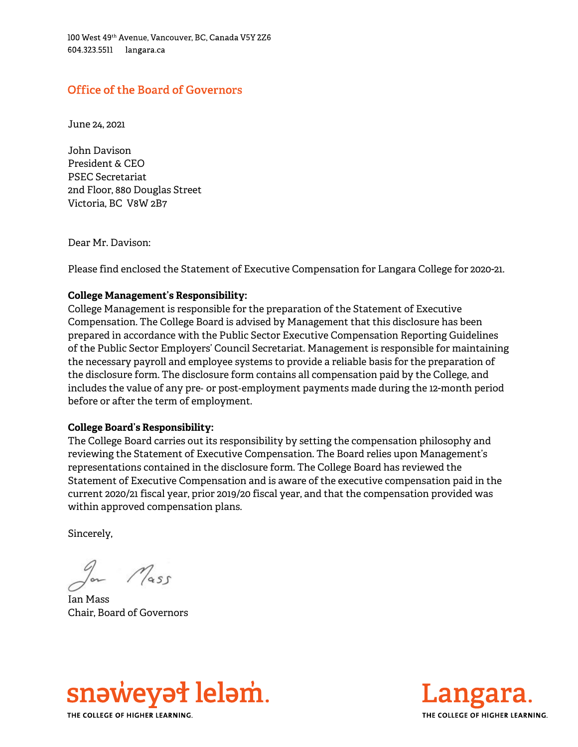100 West 49th Avenue, Vancouver, BC, Canada V5Y 2Z6 604.323.5511 langara.ca

# **Office of the Board of Governors**

June 24, 2021

John Davison President & CEO PSEC Secretariat 2nd Floor, 880 Douglas Street Victoria, BC V8W 2B7

Dear Mr. Davison:

Please find enclosed the Statement of Executive Compensation for Langara College for 2020-21.

# **College Management's Responsibility:**

College Management is responsible for the preparation of the Statement of Executive Compensation. The College Board is advised by Management that this disclosure has been prepared in accordance with the Public Sector Executive Compensation Reporting Guidelines of the Public Sector Employers' Council Secretariat. Management is responsible for maintaining the necessary payroll and employee systems to provide a reliable basis for the preparation of the disclosure form. The disclosure form contains all compensation paid by the College, and includes the value of any pre- or post-employment payments made during the 12-month period before or after the term of employment.

#### **College Board's Responsibility:**

The College Board carries out its responsibility by setting the compensation philosophy and reviewing the Statement of Executive Compensation. The Board relies upon Management's representations contained in the disclosure form. The College Board has reviewed the Statement of Executive Compensation and is aware of the executive compensation paid in the current 2020/21 fiscal year, prior 2019/20 fiscal year, and that the compensation provided was within approved compensation plans.

Sincerely,

 $M$ ass

Ian Mass Chair, Board of Governors



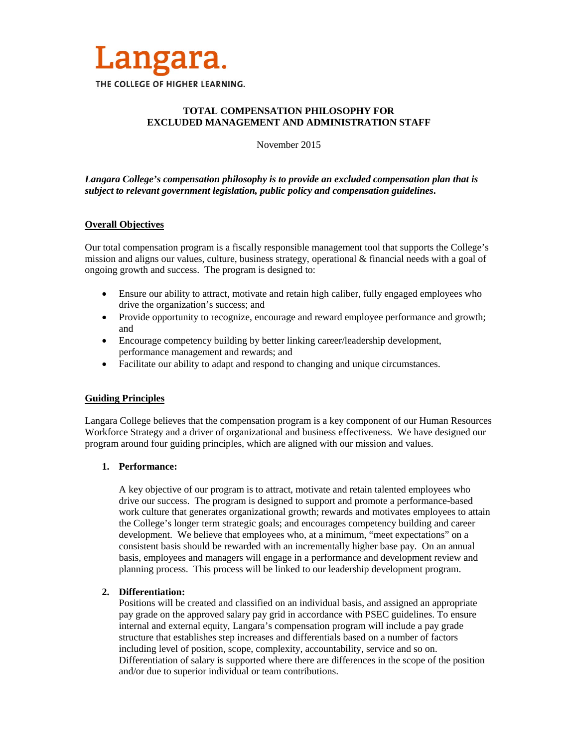

# **TOTAL COMPENSATION PHILOSOPHY FOR EXCLUDED MANAGEMENT AND ADMINISTRATION STAFF**

November 2015

## *Langara College's compensation philosophy is to provide an excluded compensation plan that is subject to relevant government legislation, public policy and compensation guidelines***.**

## **Overall Objectives**

Our total compensation program is a fiscally responsible management tool that supports the College's mission and aligns our values, culture, business strategy, operational & financial needs with a goal of ongoing growth and success. The program is designed to:

- Ensure our ability to attract, motivate and retain high caliber, fully engaged employees who drive the organization's success; and
- Provide opportunity to recognize, encourage and reward employee performance and growth; and
- Encourage competency building by better linking career/leadership development, performance management and rewards; and
- Facilitate our ability to adapt and respond to changing and unique circumstances.

# **Guiding Principles**

Langara College believes that the compensation program is a key component of our Human Resources Workforce Strategy and a driver of organizational and business effectiveness. We have designed our program around four guiding principles, which are aligned with our mission and values.

### **1. Performance:**

A key objective of our program is to attract, motivate and retain talented employees who drive our success. The program is designed to support and promote a performance-based work culture that generates organizational growth; rewards and motivates employees to attain the College's longer term strategic goals; and encourages competency building and career development. We believe that employees who, at a minimum, "meet expectations" on a consistent basis should be rewarded with an incrementally higher base pay. On an annual basis, employees and managers will engage in a performance and development review and planning process. This process will be linked to our leadership development program.

### **2. Differentiation:**

Positions will be created and classified on an individual basis, and assigned an appropriate pay grade on the approved salary pay grid in accordance with PSEC guidelines. To ensure internal and external equity, Langara's compensation program will include a pay grade structure that establishes step increases and differentials based on a number of factors including level of position, scope, complexity, accountability, service and so on. Differentiation of salary is supported where there are differences in the scope of the position and/or due to superior individual or team contributions.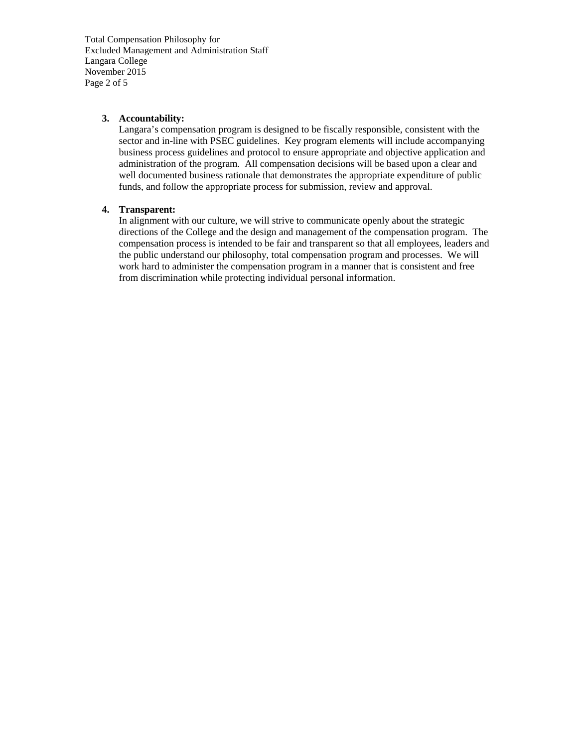Total Compensation Philosophy for Excluded Management and Administration Staff Langara College November 2015 Page 2 of 5

### **3. Accountability:**

Langara's compensation program is designed to be fiscally responsible, consistent with the sector and in-line with PSEC guidelines. Key program elements will include accompanying business process guidelines and protocol to ensure appropriate and objective application and administration of the program. All compensation decisions will be based upon a clear and well documented business rationale that demonstrates the appropriate expenditure of public funds, and follow the appropriate process for submission, review and approval.

## **4. Transparent:**

In alignment with our culture, we will strive to communicate openly about the strategic directions of the College and the design and management of the compensation program. The compensation process is intended to be fair and transparent so that all employees, leaders and the public understand our philosophy, total compensation program and processes. We will work hard to administer the compensation program in a manner that is consistent and free from discrimination while protecting individual personal information.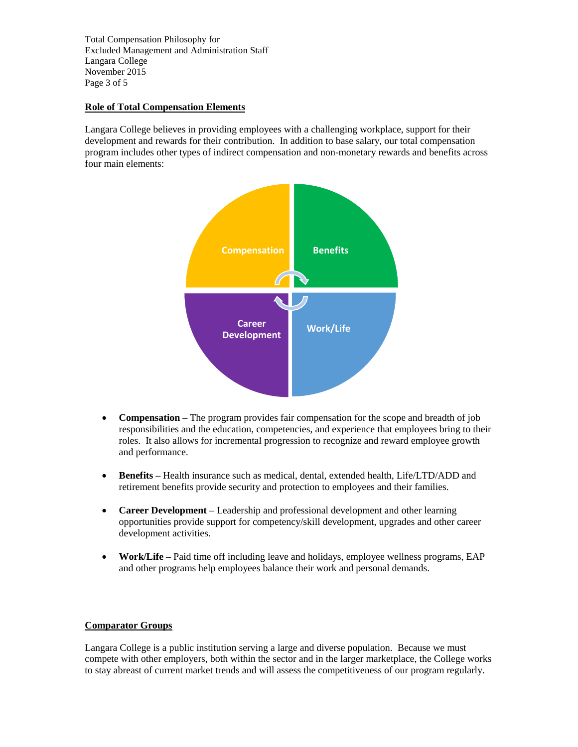Total Compensation Philosophy for Excluded Management and Administration Staff Langara College November 2015 Page 3 of 5

## **Role of Total Compensation Elements**

Langara College believes in providing employees with a challenging workplace, support for their development and rewards for their contribution. In addition to base salary, our total compensation program includes other types of indirect compensation and non-monetary rewards and benefits across four main elements:



- **Compensation** The program provides fair compensation for the scope and breadth of job responsibilities and the education, competencies, and experience that employees bring to their roles. It also allows for incremental progression to recognize and reward employee growth and performance.
- **Benefits** Health insurance such as medical, dental, extended health, Life/LTD/ADD and retirement benefits provide security and protection to employees and their families.
- **Career Development** Leadership and professional development and other learning opportunities provide support for competency/skill development, upgrades and other career development activities.
- **Work/Life** Paid time off including leave and holidays, employee wellness programs, EAP and other programs help employees balance their work and personal demands.

## **Comparator Groups**

Langara College is a public institution serving a large and diverse population. Because we must compete with other employers, both within the sector and in the larger marketplace, the College works to stay abreast of current market trends and will assess the competitiveness of our program regularly.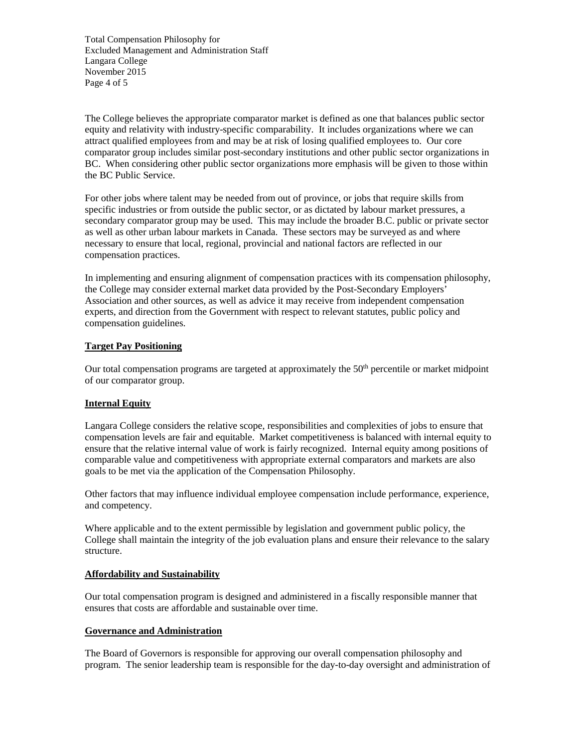Total Compensation Philosophy for Excluded Management and Administration Staff Langara College November 2015 Page 4 of 5

The College believes the appropriate comparator market is defined as one that balances public sector equity and relativity with industry-specific comparability. It includes organizations where we can attract qualified employees from and may be at risk of losing qualified employees to. Our core comparator group includes similar post-secondary institutions and other public sector organizations in BC. When considering other public sector organizations more emphasis will be given to those within the BC Public Service.

For other jobs where talent may be needed from out of province, or jobs that require skills from specific industries or from outside the public sector, or as dictated by labour market pressures, a secondary comparator group may be used. This may include the broader B.C. public or private sector as well as other urban labour markets in Canada. These sectors may be surveyed as and where necessary to ensure that local, regional, provincial and national factors are reflected in our compensation practices.

In implementing and ensuring alignment of compensation practices with its compensation philosophy, the College may consider external market data provided by the Post-Secondary Employers' Association and other sources, as well as advice it may receive from independent compensation experts, and direction from the Government with respect to relevant statutes, public policy and compensation guidelines.

## **Target Pay Positioning**

Our total compensation programs are targeted at approximately the 50<sup>th</sup> percentile or market midpoint of our comparator group.

## **Internal Equity**

Langara College considers the relative scope, responsibilities and complexities of jobs to ensure that compensation levels are fair and equitable. Market competitiveness is balanced with internal equity to ensure that the relative internal value of work is fairly recognized. Internal equity among positions of comparable value and competitiveness with appropriate external comparators and markets are also goals to be met via the application of the Compensation Philosophy.

Other factors that may influence individual employee compensation include performance, experience, and competency.

Where applicable and to the extent permissible by legislation and government public policy, the College shall maintain the integrity of the job evaluation plans and ensure their relevance to the salary structure.

### **Affordability and Sustainability**

Our total compensation program is designed and administered in a fiscally responsible manner that ensures that costs are affordable and sustainable over time.

### **Governance and Administration**

The Board of Governors is responsible for approving our overall compensation philosophy and program. The senior leadership team is responsible for the day-to-day oversight and administration of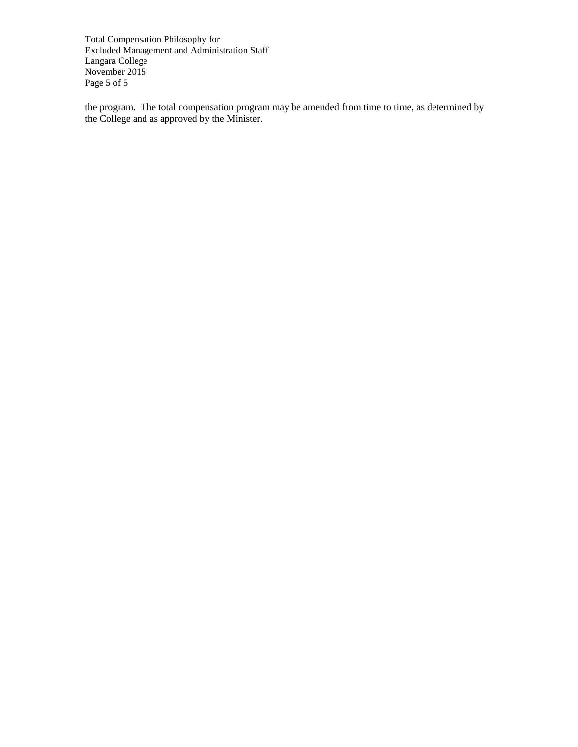Total Compensation Philosophy for Excluded Management and Administration Staff Langara College November 2015 Page 5 of 5

the program. The total compensation program may be amended from time to time, as determined by the College and as approved by the Minister.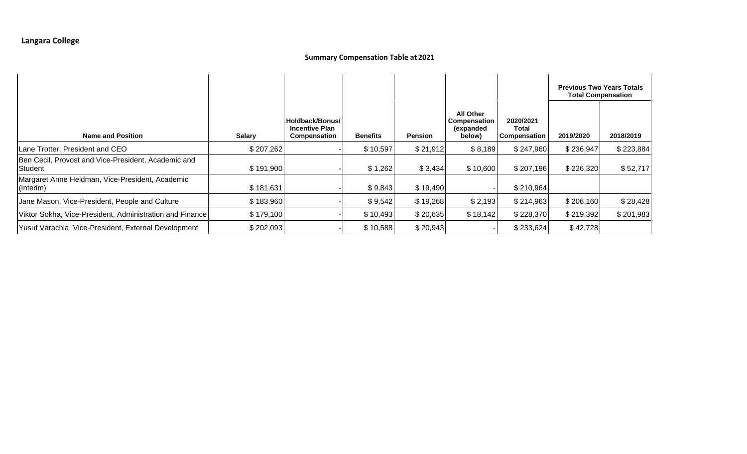# **Summary Compensation Table at 2021**

|                                                                |               |                                                          |                 |                |                                                                |                                           | <b>Previous Two Years Totals</b><br><b>Total Compensation</b> |           |
|----------------------------------------------------------------|---------------|----------------------------------------------------------|-----------------|----------------|----------------------------------------------------------------|-------------------------------------------|---------------------------------------------------------------|-----------|
| <b>Name and Position</b>                                       | <b>Salary</b> | Holdback/Bonus/<br><b>Incentive Plan</b><br>Compensation | <b>Benefits</b> | <b>Pension</b> | <b>All Other</b><br><b>Compensation</b><br>(expanded<br>below) | 2020/2021<br>Total<br><b>Compensation</b> | 2019/2020                                                     | 2018/2019 |
| Lane Trotter, President and CEO                                | \$207,262     |                                                          | \$10,597        | \$21,912       | \$8,189                                                        | \$247,960                                 | \$236,947                                                     | \$223,884 |
| Ben Cecil, Provost and Vice-President, Academic and<br>Student | \$191,900     |                                                          | \$1,262         | \$3,434        | \$10,600                                                       | \$207,196                                 | \$226,320                                                     | \$52,717  |
| Margaret Anne Heldman, Vice-President, Academic<br>(Interim)   | \$181,631     |                                                          | \$9,843         | \$19,490       |                                                                | \$210,964                                 |                                                               |           |
| Jane Mason, Vice-President, People and Culture                 | \$183,960     |                                                          | \$9,542         | \$19,268       | \$2,193                                                        | \$214,963                                 | \$206,160                                                     | \$28,428  |
| Viktor Sokha, Vice-President, Administration and Finance       | \$179,100     |                                                          | \$10,493        | \$20,635       | \$18,142                                                       | \$228,370                                 | \$219,392                                                     | \$201,983 |
| Yusuf Varachia, Vice-President, External Development           | \$202,093     |                                                          | \$10,588        | \$20,943       |                                                                | \$233,624                                 | \$42,728                                                      |           |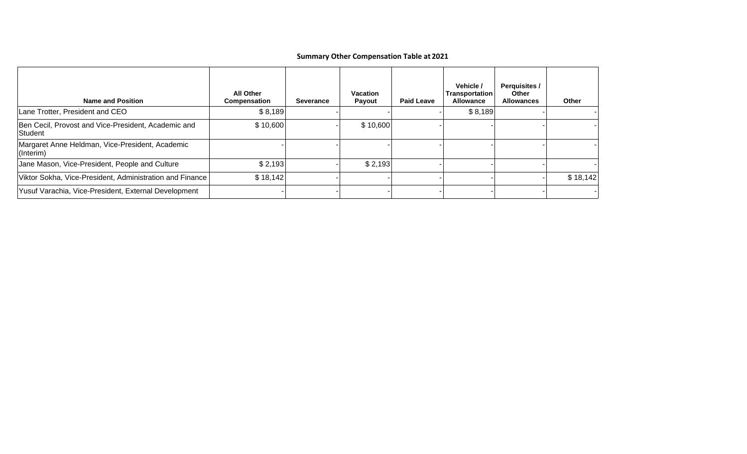# **Summary Other Compensation Table at 2021**

| <b>Name and Position</b>                                       | <b>All Other</b><br>Compensation | Severance | <b>Vacation</b><br><b>Payout</b> | <b>Paid Leave</b> | Vehicle /<br>Transportation<br><b>Allowance</b> | <b>Perquisites /</b><br>Other<br><b>Allowances</b> | Other    |
|----------------------------------------------------------------|----------------------------------|-----------|----------------------------------|-------------------|-------------------------------------------------|----------------------------------------------------|----------|
| Lane Trotter, President and CEO                                | \$8,189                          |           |                                  |                   | \$8,189                                         |                                                    |          |
| Ben Cecil, Provost and Vice-President, Academic and<br>Student | \$10,600                         |           | \$10,600                         |                   |                                                 |                                                    |          |
| Margaret Anne Heldman, Vice-President, Academic<br>(Interim)   |                                  |           |                                  |                   |                                                 |                                                    |          |
| Jane Mason, Vice-President, People and Culture                 | \$2,193                          |           | \$2,193                          |                   |                                                 |                                                    |          |
| Viktor Sokha, Vice-President, Administration and Finance       | \$18,142                         |           |                                  |                   |                                                 |                                                    | \$18,142 |
| Yusuf Varachia, Vice-President, External Development           |                                  |           |                                  |                   |                                                 |                                                    |          |